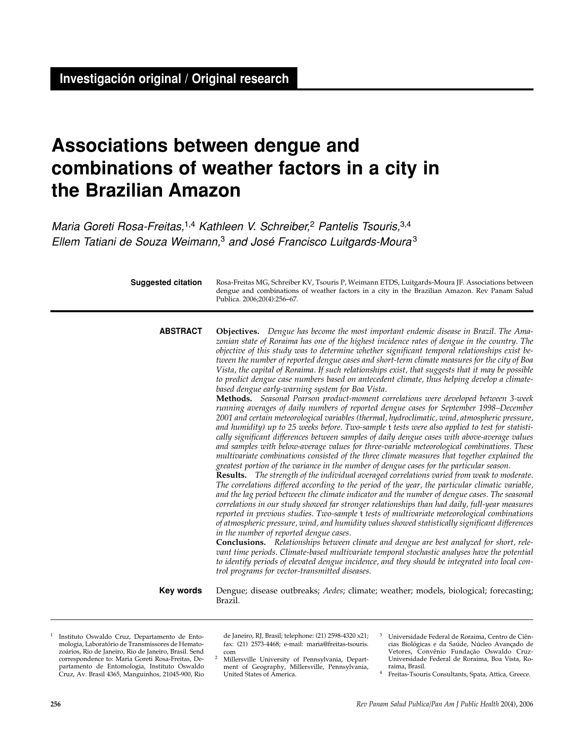# **Associations between dengue and combinations of weather factors in a city in the Brazilian Amazon**

Maria Goreti Rosa-Freitas,<sup>1,4</sup> Kathleen V. Schreiber,<sup>2</sup> Pantelis Tsouris,<sup>3,4</sup> Ellem Tatiani de Souza Weimann,<sup>3</sup> and José Francisco Luitgards-Moura<sup>3</sup>

| <b>Suggested citation</b> | Rosa-Freitas MG, Schreiber KV, Tsouris P, Weimann ETDS, Luitgards-Moura JF. Associations between<br>dengue and combinations of weather factors in a city in the Brazilian Amazon. Rev Panam Salud<br>Publica. 2006;20(4):256-67.                                                                                                                                                                                                                                                                                                                                                                                                                                                                                                                                                                                                                                                                                                                                                                                                                                                                                                                                                                                                                                                                                                                                                                                                                                                                                                                                                                                                                                                                                                                                                                                                                                                                                                                                                                                                                                                                                                                                                                                                                                                                                                                                                                                                                              |
|---------------------------|---------------------------------------------------------------------------------------------------------------------------------------------------------------------------------------------------------------------------------------------------------------------------------------------------------------------------------------------------------------------------------------------------------------------------------------------------------------------------------------------------------------------------------------------------------------------------------------------------------------------------------------------------------------------------------------------------------------------------------------------------------------------------------------------------------------------------------------------------------------------------------------------------------------------------------------------------------------------------------------------------------------------------------------------------------------------------------------------------------------------------------------------------------------------------------------------------------------------------------------------------------------------------------------------------------------------------------------------------------------------------------------------------------------------------------------------------------------------------------------------------------------------------------------------------------------------------------------------------------------------------------------------------------------------------------------------------------------------------------------------------------------------------------------------------------------------------------------------------------------------------------------------------------------------------------------------------------------------------------------------------------------------------------------------------------------------------------------------------------------------------------------------------------------------------------------------------------------------------------------------------------------------------------------------------------------------------------------------------------------------------------------------------------------------------------------------------------------|
| <b>ABSTRACT</b>           | <b>Objectives.</b> Dengue has become the most important endemic disease in Brazil. The Ama-<br>zonian state of Roraima has one of the highest incidence rates of dengue in the country. The<br>objective of this study was to determine whether significant temporal relationships exist be-<br>tween the number of reported dengue cases and short-term climate measures for the city of Boa<br>Vista, the capital of Roraima. If such relationships exist, that suggests that it may be possible<br>to predict dengue case numbers based on antecedent climate, thus helping develop a climate-<br>based dengue early-warning system for Boa Vista.<br>Methods. Seasonal Pearson product-moment correlations were developed between 3-week<br>running averages of daily numbers of reported dengue cases for September 1998–December<br>2001 and certain meteorological variables (thermal, hydroclimatic, wind, atmospheric pressure,<br>and humidity) up to 25 weeks before. Two-sample t tests were also applied to test for statisti-<br>cally significant differences between samples of daily dengue cases with above-average values<br>and samples with below-average values for three-variable meteorological combinations. These<br>multivariate combinations consisted of the three climate measures that together explained the<br>greatest portion of the variance in the number of dengue cases for the particular season.<br><b>Results.</b> The strength of the individual averaged correlations varied from weak to moderate.<br>The correlations differed according to the period of the year, the particular climatic variable,<br>and the lag period between the climate indicator and the number of dengue cases. The seasonal<br>correlations in our study showed far stronger relationships than had daily, full-year measures<br>reported in previous studies. Two-sample t tests of multivariate meteorological combinations<br>of atmospheric pressure, wind, and humidity values showed statistically significant differences<br>in the number of reported dengue cases.<br><b>Conclusions.</b> Relationships between climate and dengue are best analyzed for short, rele-<br>vant time periods. Climate-based multivariate temporal stochastic analyses have the potential<br>to identify periods of elevated dengue incidence, and they should be integrated into local con-<br>trol programs for vector-transmitted diseases. |
| Key words                 | Dengue; disease outbreaks; Aedes; climate; weather; models, biological; forecasting;<br>Brazil.                                                                                                                                                                                                                                                                                                                                                                                                                                                                                                                                                                                                                                                                                                                                                                                                                                                                                                                                                                                                                                                                                                                                                                                                                                                                                                                                                                                                                                                                                                                                                                                                                                                                                                                                                                                                                                                                                                                                                                                                                                                                                                                                                                                                                                                                                                                                                               |

<sup>1</sup> Instituto Oswaldo Cruz, Departamento de Entomologia, Laboratório de Transmissores de Hematozoários, Rio de Janeiro, Rio de Janeiro, Brasil. Send correspondence to: Maria Goreti Rosa-Freitas, Departamento de Entomologia, Instituto Oswaldo Cruz, Av. Brasil 4365, Manguinhos, 21045-900, Rio

de Janeiro, RJ, Brasil; telephone: (21) 2598-4320 x21; fax: (21) 2573-4468; e-mail: maria@freitas-tsouris.

- com 2 Millersville University of Pennsylvania, Department of Geography, Millersville, Pennsylvania, United States of America.
- <sup>3</sup> Universidade Federal de Roraima, Centro de Ciências Biológicas e da Saúde, Núcleo Avançado de Vetores, Convênio Fundação Oswaldo Cruz-Universidade Federal de Roraima, Boa Vista, Ro-

raima, Brasil. 4 Freitas-Tsouris Consultants, Spata, Attica, Greece.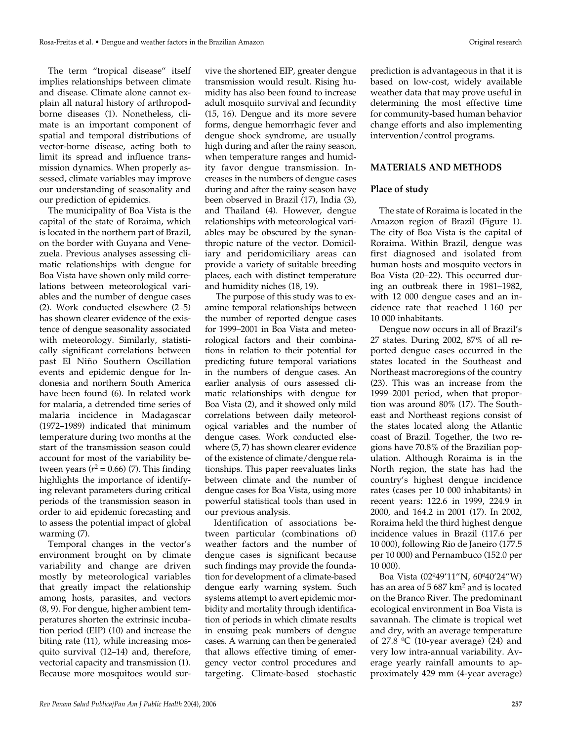The term "tropical disease" itself implies relationships between climate and disease. Climate alone cannot explain all natural history of arthropodborne diseases (1). Nonetheless, climate is an important component of spatial and temporal distributions of vector-borne disease, acting both to limit its spread and influence transmission dynamics. When properly assessed, climate variables may improve our understanding of seasonality and our prediction of epidemics.

The municipality of Boa Vista is the capital of the state of Roraima, which is located in the northern part of Brazil, on the border with Guyana and Venezuela. Previous analyses assessing climatic relationships with dengue for Boa Vista have shown only mild correlations between meteorological variables and the number of dengue cases (2). Work conducted elsewhere (2–5) has shown clearer evidence of the existence of dengue seasonality associated with meteorology. Similarly, statistically significant correlations between past El Niño Southern Oscillation events and epidemic dengue for Indonesia and northern South America have been found (6). In related work for malaria, a detrended time series of malaria incidence in Madagascar (1972–1989) indicated that minimum temperature during two months at the start of the transmission season could account for most of the variability between years  $(r^2 = 0.66)$  (7). This finding highlights the importance of identifying relevant parameters during critical periods of the transmission season in order to aid epidemic forecasting and to assess the potential impact of global warming (7).

Temporal changes in the vector's environment brought on by climate variability and change are driven mostly by meteorological variables that greatly impact the relationship among hosts, parasites, and vectors (8, 9). For dengue, higher ambient temperatures shorten the extrinsic incubation period (EIP) (10) and increase the biting rate (11), while increasing mosquito survival (12–14) and, therefore, vectorial capacity and transmission (1). Because more mosquitoes would survive the shortened EIP, greater dengue transmission would result. Rising humidity has also been found to increase adult mosquito survival and fecundity (15, 16). Dengue and its more severe forms, dengue hemorrhagic fever and dengue shock syndrome, are usually high during and after the rainy season, when temperature ranges and humidity favor dengue transmission. Increases in the numbers of dengue cases during and after the rainy season have been observed in Brazil (17), India (3), and Thailand (4). However, dengue relationships with meteorological variables may be obscured by the synanthropic nature of the vector. Domiciliary and peridomiciliary areas can provide a variety of suitable breeding places, each with distinct temperature and humidity niches (18, 19).

The purpose of this study was to examine temporal relationships between the number of reported dengue cases for 1999–2001 in Boa Vista and meteorological factors and their combinations in relation to their potential for predicting future temporal variations in the numbers of dengue cases. An earlier analysis of ours assessed climatic relationships with dengue for Boa Vista (2), and it showed only mild correlations between daily meteorological variables and the number of dengue cases. Work conducted elsewhere (5, 7) has shown clearer evidence of the existence of climate/dengue relationships. This paper reevaluates links between climate and the number of dengue cases for Boa Vista, using more powerful statistical tools than used in our previous analysis.

Identification of associations between particular (combinations of) weather factors and the number of dengue cases is significant because such findings may provide the foundation for development of a climate-based dengue early warning system. Such systems attempt to avert epidemic morbidity and mortality through identification of periods in which climate results in ensuing peak numbers of dengue cases. A warning can then be generated that allows effective timing of emergency vector control procedures and targeting. Climate-based stochastic

prediction is advantageous in that it is based on low-cost, widely available weather data that may prove useful in determining the most effective time for community-based human behavior change efforts and also implementing intervention/control programs.

#### **MATERIALS AND METHODS**

#### **Place of study**

The state of Roraima is located in the Amazon region of Brazil (Figure 1). The city of Boa Vista is the capital of Roraima. Within Brazil, dengue was first diagnosed and isolated from human hosts and mosquito vectors in Boa Vista (20–22). This occurred during an outbreak there in 1981–1982, with 12 000 dengue cases and an incidence rate that reached 1 160 per 10 000 inhabitants.

Dengue now occurs in all of Brazil's 27 states. During 2002, 87% of all reported dengue cases occurred in the states located in the Southeast and Northeast macroregions of the country (23). This was an increase from the 1999–2001 period, when that proportion was around 80% (17). The Southeast and Northeast regions consist of the states located along the Atlantic coast of Brazil. Together, the two regions have 70.8% of the Brazilian population. Although Roraima is in the North region, the state has had the country's highest dengue incidence rates (cases per 10 000 inhabitants) in recent years: 122.6 in 1999, 224.9 in 2000, and 164.2 in 2001 (17). In 2002, Roraima held the third highest dengue incidence values in Brazil (117.6 per 10 000), following Rio de Janeiro (177.5 per 10 000) and Pernambuco (152.0 per 10 000).

Boa Vista (02º49'11"N, 60º40'24"W) has an area of  $5687 \text{ km}^2$  and is located on the Branco River. The predominant ecological environment in Boa Vista is savannah. The climate is tropical wet and dry, with an average temperature of 27.8  $^{\circ}$ C (10-year average) (24) and very low intra-annual variability. Average yearly rainfall amounts to approximately 429 mm (4-year average)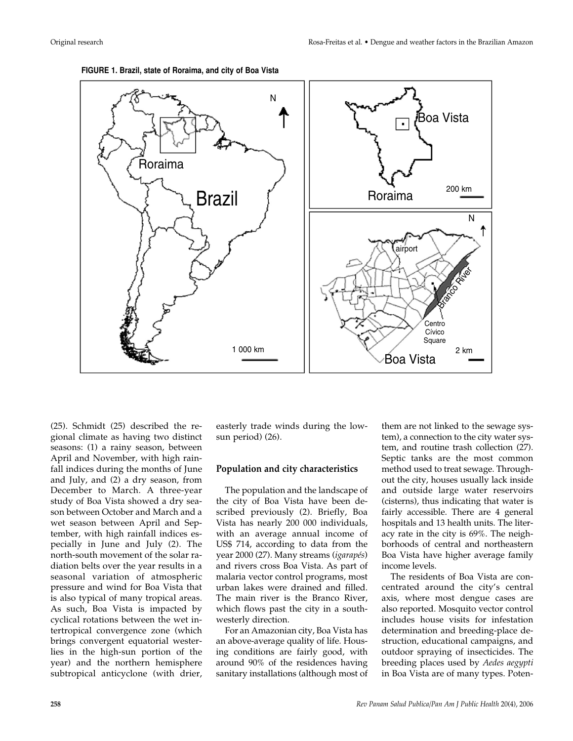

**FIGURE 1. Brazil, state of Roraima, and city of Boa Vista**

(25). Schmidt (25) described the regional climate as having two distinct seasons: (1) a rainy season, between April and November, with high rainfall indices during the months of June and July, and (2) a dry season, from December to March. A three-year study of Boa Vista showed a dry season between October and March and a wet season between April and September, with high rainfall indices especially in June and July (2). The north-south movement of the solar radiation belts over the year results in a seasonal variation of atmospheric pressure and wind for Boa Vista that is also typical of many tropical areas. As such, Boa Vista is impacted by cyclical rotations between the wet intertropical convergence zone (which brings convergent equatorial westerlies in the high-sun portion of the year) and the northern hemisphere subtropical anticyclone (with drier,

easterly trade winds during the lowsun period) (26).

#### **Population and city characteristics**

The population and the landscape of the city of Boa Vista have been described previously (2). Briefly, Boa Vista has nearly 200 000 individuals, with an average annual income of US\$ 714, according to data from the year 2000 (27). Many streams (*igarapés*) and rivers cross Boa Vista. As part of malaria vector control programs, most urban lakes were drained and filled. The main river is the Branco River, which flows past the city in a southwesterly direction.

For an Amazonian city, Boa Vista has an above-average quality of life. Housing conditions are fairly good, with around 90% of the residences having sanitary installations (although most of

them are not linked to the sewage system), a connection to the city water system, and routine trash collection (27). Septic tanks are the most common method used to treat sewage. Throughout the city, houses usually lack inside and outside large water reservoirs (cisterns), thus indicating that water is fairly accessible. There are 4 general hospitals and 13 health units. The literacy rate in the city is 69%. The neighborhoods of central and northeastern Boa Vista have higher average family income levels.

The residents of Boa Vista are concentrated around the city's central axis, where most dengue cases are also reported. Mosquito vector control includes house visits for infestation determination and breeding-place destruction, educational campaigns, and outdoor spraying of insecticides. The breeding places used by *Aedes aegypti* in Boa Vista are of many types. Poten-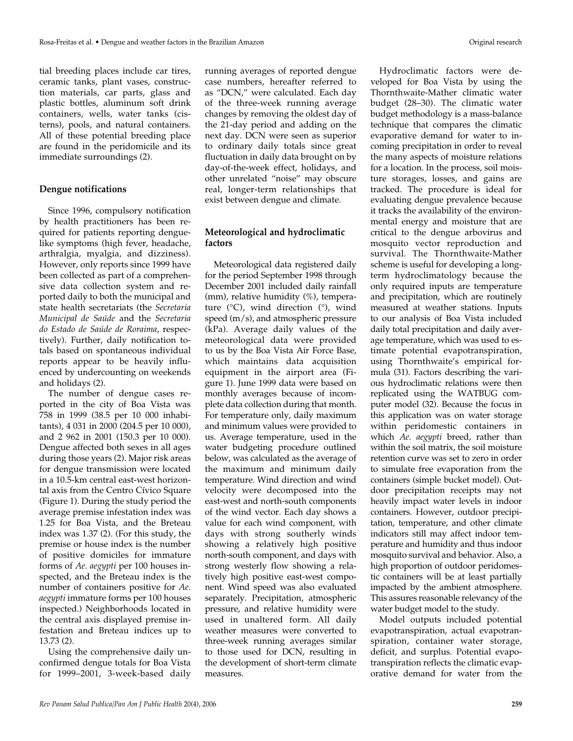tial breeding places include car tires, ceramic tanks, plant vases, construction materials, car parts, glass and plastic bottles, aluminum soft drink containers, wells, water tanks (cisterns), pools, and natural containers. All of these potential breeding place are found in the peridomicile and its immediate surroundings (2).

# **Dengue notifications**

Since 1996, compulsory notification by health practitioners has been required for patients reporting denguelike symptoms (high fever, headache, arthralgia, myalgia, and dizziness). However, only reports since 1999 have been collected as part of a comprehensive data collection system and reported daily to both the municipal and state health secretariats (the *Secretaria Municipal de Saúde* and the *Secretaria do Estado de Saúde de Roraima*, respectively). Further, daily notification totals based on spontaneous individual reports appear to be heavily influenced by undercounting on weekends and holidays (2).

The number of dengue cases reported in the city of Boa Vista was 758 in 1999 (38.5 per 10 000 inhabitants), 4 031 in 2000 (204.5 per 10 000), and 2 962 in 2001 (150.3 per 10 000). Dengue affected both sexes in all ages during those years (2). Major risk areas for dengue transmission were located in a 10.5-km central east-west horizontal axis from the Centro Cívico Square (Figure 1). During the study period the average premise infestation index was 1.25 for Boa Vista, and the Breteau index was 1.37 (2). (For this study, the premise or house index is the number of positive domiciles for immature forms of *Ae. aegypti* per 100 houses inspected, and the Breteau index is the number of containers positive for *Ae. aegypti* immature forms per 100 houses inspected.) Neighborhoods located in the central axis displayed premise infestation and Breteau indices up to 13.73 (2).

Using the comprehensive daily unconfirmed dengue totals for Boa Vista for 1999–2001, 3-week-based daily running averages of reported dengue case numbers, hereafter referred to as "DCN," were calculated. Each day of the three-week running average changes by removing the oldest day of the 21-day period and adding on the next day. DCN were seen as superior to ordinary daily totals since great fluctuation in daily data brought on by day-of-the-week effect, holidays, and other unrelated "noise" may obscure real, longer-term relationships that exist between dengue and climate.

# **Meteorological and hydroclimatic factors**

Meteorological data registered daily for the period September 1998 through December 2001 included daily rainfall (mm), relative humidity (%), temperature  $(^{\circ}C)$ , wind direction  $(^{\circ})$ , wind speed (m/s), and atmospheric pressure (kPa). Average daily values of the meteorological data were provided to us by the Boa Vista Air Force Base, which maintains data acquisition equipment in the airport area (Figure 1). June 1999 data were based on monthly averages because of incomplete data collection during that month. For temperature only, daily maximum and minimum values were provided to us. Average temperature, used in the water budgeting procedure outlined below, was calculated as the average of the maximum and minimum daily temperature. Wind direction and wind velocity were decomposed into the east-west and north-south components of the wind vector. Each day shows a value for each wind component, with days with strong southerly winds showing a relatively high positive north-south component, and days with strong westerly flow showing a relatively high positive east-west component. Wind speed was also evaluated separately. Precipitation, atmospheric pressure, and relative humidity were used in unaltered form. All daily weather measures were converted to three-week running averages similar to those used for DCN, resulting in the development of short-term climate measures.

Hydroclimatic factors were developed for Boa Vista by using the Thornthwaite-Mather climatic water budget (28–30). The climatic water budget methodology is a mass-balance technique that compares the climatic evaporative demand for water to incoming precipitation in order to reveal the many aspects of moisture relations for a location. In the process, soil moisture storages, losses, and gains are tracked. The procedure is ideal for evaluating dengue prevalence because it tracks the availability of the environmental energy and moisture that are critical to the dengue arbovirus and mosquito vector reproduction and survival. The Thornthwaite-Mather scheme is useful for developing a longterm hydroclimatology because the only required inputs are temperature and precipitation, which are routinely measured at weather stations. Inputs to our analysis of Boa Vista included daily total precipitation and daily average temperature, which was used to estimate potential evapotranspiration, using Thornthwaite's empirical formula (31). Factors describing the various hydroclimatic relations were then replicated using the WATBUG computer model (32). Because the focus in this application was on water storage within peridomestic containers in which *Ae. aegypti* breed, rather than within the soil matrix, the soil moisture retention curve was set to zero in order to simulate free evaporation from the containers (simple bucket model). Outdoor precipitation receipts may not heavily impact water levels in indoor containers. However, outdoor precipitation, temperature, and other climate indicators still may affect indoor temperature and humidity and thus indoor mosquito survival and behavior. Also, a high proportion of outdoor peridomestic containers will be at least partially impacted by the ambient atmosphere. This assures reasonable relevancy of the water budget model to the study.

Model outputs included potential evapotranspiration, actual evapotranspiration, container water storage, deficit, and surplus. Potential evapotranspiration reflects the climatic evaporative demand for water from the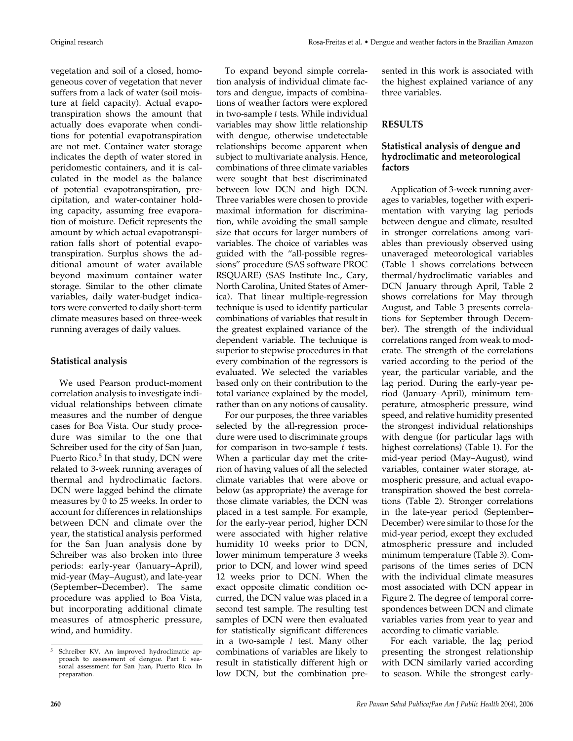vegetation and soil of a closed, homogeneous cover of vegetation that never suffers from a lack of water (soil moisture at field capacity). Actual evapotranspiration shows the amount that actually does evaporate when conditions for potential evapotranspiration are not met. Container water storage indicates the depth of water stored in peridomestic containers, and it is calculated in the model as the balance of potential evapotranspiration, precipitation, and water-container holding capacity, assuming free evaporation of moisture. Deficit represents the amount by which actual evapotranspiration falls short of potential evapotranspiration. Surplus shows the additional amount of water available beyond maximum container water storage. Similar to the other climate variables, daily water-budget indicators were converted to daily short-term climate measures based on three-week running averages of daily values.

## **Statistical analysis**

We used Pearson product-moment correlation analysis to investigate individual relationships between climate measures and the number of dengue cases for Boa Vista. Our study procedure was similar to the one that Schreiber used for the city of San Juan, Puerto Rico.<sup>5</sup> In that study, DCN were related to 3-week running averages of thermal and hydroclimatic factors. DCN were lagged behind the climate measures by 0 to 25 weeks. In order to account for differences in relationships between DCN and climate over the year, the statistical analysis performed for the San Juan analysis done by Schreiber was also broken into three periods: early-year (January–April), mid-year (May–August), and late-year (September–December). The same procedure was applied to Boa Vista, but incorporating additional climate measures of atmospheric pressure, wind, and humidity.

To expand beyond simple correlation analysis of individual climate factors and dengue, impacts of combinations of weather factors were explored in two-sample *t* tests. While individual variables may show little relationship with dengue, otherwise undetectable relationships become apparent when subject to multivariate analysis. Hence, combinations of three climate variables were sought that best discriminated between low DCN and high DCN. Three variables were chosen to provide maximal information for discrimination, while avoiding the small sample size that occurs for larger numbers of variables. The choice of variables was guided with the "all-possible regressions" procedure (SAS software PROC RSQUARE) (SAS Institute Inc., Cary, North Carolina, United States of America). That linear multiple-regression technique is used to identify particular combinations of variables that result in the greatest explained variance of the dependent variable. The technique is superior to stepwise procedures in that every combination of the regressors is evaluated. We selected the variables based only on their contribution to the total variance explained by the model, rather than on any notions of causality.

For our purposes, the three variables selected by the all-regression procedure were used to discriminate groups for comparison in two-sample *t* tests. When a particular day met the criterion of having values of all the selected climate variables that were above or below (as appropriate) the average for those climate variables, the DCN was placed in a test sample. For example, for the early-year period, higher DCN were associated with higher relative humidity 10 weeks prior to DCN, lower minimum temperature 3 weeks prior to DCN, and lower wind speed 12 weeks prior to DCN. When the exact opposite climatic condition occurred, the DCN value was placed in a second test sample. The resulting test samples of DCN were then evaluated for statistically significant differences in a two-sample *t* test. Many other combinations of variables are likely to result in statistically different high or low DCN, but the combination presented in this work is associated with the highest explained variance of any three variables.

## **RESULTS**

## **Statistical analysis of dengue and hydroclimatic and meteorological factors**

Application of 3-week running averages to variables, together with experimentation with varying lag periods between dengue and climate, resulted in stronger correlations among variables than previously observed using unaveraged meteorological variables (Table 1 shows correlations between thermal/hydroclimatic variables and DCN January through April, Table 2 shows correlations for May through August, and Table 3 presents correlations for September through December). The strength of the individual correlations ranged from weak to moderate. The strength of the correlations varied according to the period of the year, the particular variable, and the lag period. During the early-year period (January–April), minimum temperature, atmospheric pressure, wind speed, and relative humidity presented the strongest individual relationships with dengue (for particular lags with highest correlations) (Table 1). For the mid-year period (May–August), wind variables, container water storage, atmospheric pressure, and actual evapotranspiration showed the best correlations (Table 2). Stronger correlations in the late-year period (September– December) were similar to those for the mid-year period, except they excluded atmospheric pressure and included minimum temperature (Table 3). Comparisons of the times series of DCN with the individual climate measures most associated with DCN appear in Figure 2. The degree of temporal correspondences between DCN and climate variables varies from year to year and according to climatic variable.

For each variable, the lag period presenting the strongest relationship with DCN similarly varied according to season. While the strongest early-

<sup>5</sup> Schreiber KV. An improved hydroclimatic approach to assessment of dengue. Part I: seasonal assessment for San Juan, Puerto Rico. In preparation.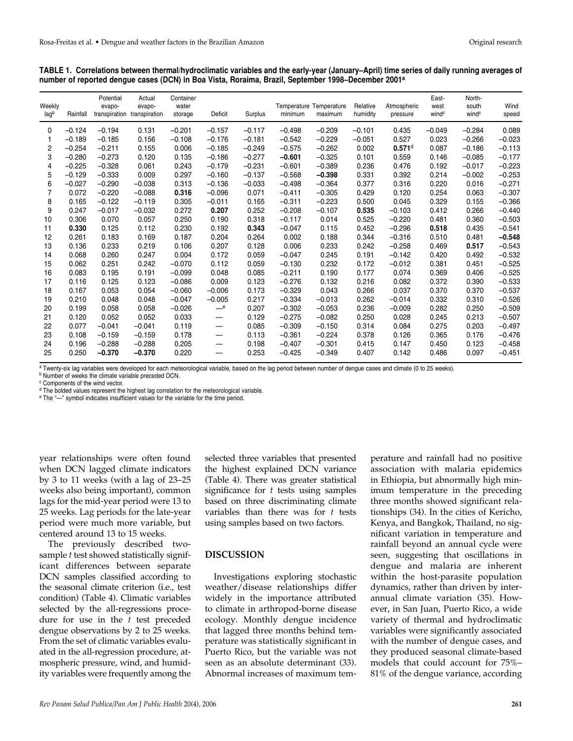| Weekly<br>lagb | Rainfall | Potential<br>evapo- | Actual<br>evapo-<br>transpiration transpiration | Container<br>water<br>storage | Deficit                  | Surplus  | Temperature<br>minimum | Temperature<br>maximum | Relative<br>humidity | Atmospheric<br>pressure | East-<br>west<br>wind <sup>c</sup> | North-<br>south<br>wind <sup>c</sup> | Wind<br>speed |
|----------------|----------|---------------------|-------------------------------------------------|-------------------------------|--------------------------|----------|------------------------|------------------------|----------------------|-------------------------|------------------------------------|--------------------------------------|---------------|
| $\Omega$       | $-0.124$ | $-0.194$            | 0.131                                           | $-0.201$                      | $-0.157$                 | $-0.117$ | $-0.498$               | $-0.209$               | $-0.101$             | 0.435                   | $-0.049$                           | $-0.284$                             | 0.089         |
| 1              | $-0.189$ | $-0.185$            | 0.156                                           | $-0.108$                      | $-0.176$                 | $-0.181$ | $-0.542$               | $-0.229$               | $-0.051$             | 0.527                   | 0.023                              | $-0.266$                             | $-0.023$      |
| 2              | $-0.254$ | $-0.211$            | 0.155                                           | 0.006                         | $-0.185$                 | $-0.249$ | $-0.575$               | $-0.262$               | 0.002                | $0.571$ <sup>d</sup>    | 0.087                              | $-0.186$                             | $-0.113$      |
| 3              | $-0.280$ | $-0.273$            | 0.120                                           | 0.135                         | $-0.186$                 | $-0.277$ | $-0.601$               | $-0.325$               | 0.101                | 0.559                   | 0.146                              | $-0.085$                             | $-0.177$      |
| 4              | $-0.225$ | $-0.328$            | 0.061                                           | 0.243                         | $-0.179$                 | $-0.231$ | $-0.601$               | $-0.389$               | 0.236                | 0.476                   | 0.192                              | $-0.017$                             | $-0.223$      |
| 5              | $-0.129$ | $-0.333$            | 0.009                                           | 0.297                         | $-0.160$                 | $-0.137$ | $-0.568$               | $-0.398$               | 0.331                | 0.392                   | 0.214                              | $-0.002$                             | $-0.253$      |
| 6              | $-0.027$ | $-0.290$            | $-0.038$                                        | 0.313                         | $-0.136$                 | $-0.033$ | $-0.498$               | $-0.364$               | 0.377                | 0.316                   | 0.220                              | 0.016                                | $-0.271$      |
| 7              | 0.072    | $-0.220$            | $-0.088$                                        | 0.316                         | $-0.096$                 | 0.071    | $-0.411$               | $-0.305$               | 0.429                | 0.120                   | 0.254                              | 0.063                                | $-0.307$      |
| 8              | 0.165    | $-0.122$            | $-0.119$                                        | 0.305                         | $-0.011$                 | 0.165    | $-0.311$               | $-0.223$               | 0.500                | 0.045                   | 0.329                              | 0.155                                | $-0.366$      |
| 9              | 0.247    | $-0.017$            | $-0.032$                                        | 0.272                         | 0.207                    | 0.252    | $-0.208$               | $-0.107$               | 0.535                | $-0.103$                | 0.412                              | 0.266                                | $-0.440$      |
| 10             | 0.306    | 0.070               | 0.057                                           | 0.250                         | 0.190                    | 0.318    | $-0.117$               | 0.014                  | 0.525                | $-0.220$                | 0.481                              | 0.360                                | $-0.503$      |
| 11             | 0.330    | 0.125               | 0.112                                           | 0.230                         | 0.192                    | 0.343    | $-0.047$               | 0.115                  | 0.452                | $-0.296$                | 0.518                              | 0.435                                | $-0.541$      |
| 12             | 0.261    | 0.183               | 0.169                                           | 0.187                         | 0.204                    | 0.264    | 0.002                  | 0.188                  | 0.344                | $-0.316$                | 0.510                              | 0.481                                | $-0.548$      |
| 13             | 0.136    | 0.233               | 0.219                                           | 0.106                         | 0.207                    | 0.128    | 0.006                  | 0.233                  | 0.242                | $-0.258$                | 0.469                              | 0.517                                | $-0.543$      |
| 14             | 0.068    | 0.260               | 0.247                                           | 0.004                         | 0.172                    | 0.059    | $-0.047$               | 0.245                  | 0.191                | $-0.142$                | 0.420                              | 0.492                                | $-0.532$      |
| 15             | 0.062    | 0.251               | 0.242                                           | $-0.070$                      | 0.112                    | 0.059    | $-0.130$               | 0.232                  | 0.172                | $-0.012$                | 0.381                              | 0.451                                | $-0.525$      |
| 16             | 0.083    | 0.195               | 0.191                                           | $-0.099$                      | 0.048                    | 0.085    | $-0.211$               | 0.190                  | 0.177                | 0.074                   | 0.369                              | 0.406                                | $-0.525$      |
| 17             | 0.116    | 0.125               | 0.123                                           | $-0.086$                      | 0.009                    | 0.123    | $-0.276$               | 0.132                  | 0.216                | 0.082                   | 0.372                              | 0.390                                | $-0.533$      |
| 18             | 0.167    | 0.053               | 0.054                                           | $-0.060$                      | $-0.006$                 | 0.173    | $-0.329$               | 0.043                  | 0.266                | 0.037                   | 0.370                              | 0.370                                | $-0.537$      |
| 19             | 0.210    | 0.048               | 0.048                                           | $-0.047$                      | $-0.005$                 | 0.217    | $-0.334$               | $-0.013$               | 0.262                | $-0.014$                | 0.332                              | 0.310                                | $-0.526$      |
| 20             | 0.199    | 0.058               | 0.058                                           | $-0.026$                      | $-^{\rm e}$              | 0.207    | $-0.302$               | $-0.053$               | 0.236                | $-0.009$                | 0.282                              | 0.250                                | $-0.509$      |
| 21             | 0.120    | 0.052               | 0.052                                           | 0.033                         | $\qquad \qquad$          | 0.129    | $-0.275$               | $-0.082$               | 0.250                | 0.028                   | 0.245                              | 0.213                                | $-0.507$      |
| 22             | 0.077    | $-0.041$            | $-0.041$                                        | 0.119                         |                          | 0.085    | $-0.309$               | $-0.150$               | 0.314                | 0.084                   | 0.275                              | 0.203                                | $-0.497$      |
| 23             | 0.108    | $-0.159$            | $-0.159$                                        | 0.178                         |                          | 0.113    | $-0.361$               | $-0.224$               | 0.378                | 0.126                   | 0.365                              | 0.176                                | $-0.476$      |
| 24             | 0.196    | $-0.288$            | $-0.288$                                        | 0.205                         | —                        | 0.198    | $-0.407$               | $-0.301$               | 0.415                | 0.147                   | 0.450                              | 0.123                                | $-0.458$      |
| 25             | 0.250    | $-0.370$            | $-0.370$                                        | 0.220                         | $\overline{\phantom{0}}$ | 0.253    | $-0.425$               | $-0.349$               | 0.407                | 0.142                   | 0.486                              | 0.097                                | $-0.451$      |

#### **TABLE 1. Correlations between thermal/hydroclimatic variables and the early-year (January–April) time series of daily running averages of number of reported dengue cases (DCN) in Boa Vista, Roraima, Brazil, September 1998–December 2001a**

<sup>a</sup> Twenty-six lag variables were developed for each meteorological variable, based on the lag period between number of dengue cases and climate (0 to 25 weeks).<br><sup>b</sup> Number of weeks the climate variable preceded DCN.

<sup>c</sup> Components of the wind vector.

<sup>d</sup> The bolded values represent the highest lag correlation for the meteorological variable.

<sup>e</sup> The "—" symbol indicates insufficient values for the variable for the time period.

year relationships were often found when DCN lagged climate indicators by 3 to 11 weeks (with a lag of 23–25 weeks also being important), common lags for the mid-year period were 13 to 25 weeks. Lag periods for the late-year period were much more variable, but centered around 13 to 15 weeks.

The previously described twosample *t* test showed statistically significant differences between separate DCN samples classified according to the seasonal climate criterion (i.e., test condition) (Table 4). Climatic variables selected by the all-regressions procedure for use in the *t* test preceded dengue observations by 2 to 25 weeks. From the set of climatic variables evaluated in the all-regression procedure, atmospheric pressure, wind, and humidity variables were frequently among the

selected three variables that presented the highest explained DCN variance (Table 4). There was greater statistical significance for *t* tests using samples based on three discriminating climate variables than there was for *t* tests using samples based on two factors.

## **DISCUSSION**

Investigations exploring stochastic weather/disease relationships differ widely in the importance attributed to climate in arthropod-borne disease ecology. Monthly dengue incidence that lagged three months behind temperature was statistically significant in Puerto Rico, but the variable was not seen as an absolute determinant (33). Abnormal increases of maximum temperature and rainfall had no positive association with malaria epidemics in Ethiopia, but abnormally high minimum temperature in the preceding three months showed significant relationships (34). In the cities of Kericho, Kenya, and Bangkok, Thailand, no significant variation in temperature and rainfall beyond an annual cycle were seen, suggesting that oscillations in dengue and malaria are inherent within the host-parasite population dynamics, rather than driven by interannual climate variation (35). However, in San Juan, Puerto Rico, a wide variety of thermal and hydroclimatic variables were significantly associated with the number of dengue cases, and they produced seasonal climate-based models that could account for 75%– 81% of the dengue variance, according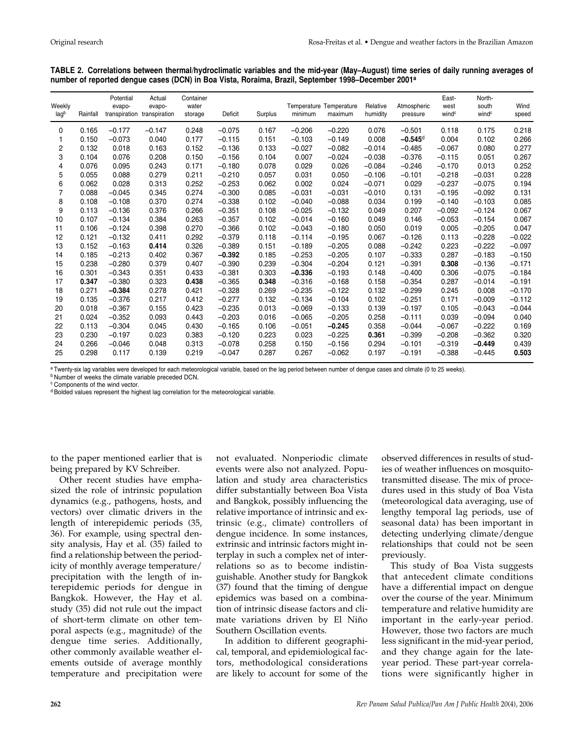| Weekly<br>lagb | Rainfall | Potential<br>evapo- | Actual<br>evapo-<br>transpiration transpiration | Container<br>water<br>storage | Deficit  | Surplus | Temperature Temperature<br>minimum | maximum  | Relative<br>humidity | Atmospheric<br>pressure | East-<br>west<br>wind <sup>c</sup> | North-<br>south<br>wind <sup>c</sup> | Wind<br>speed |
|----------------|----------|---------------------|-------------------------------------------------|-------------------------------|----------|---------|------------------------------------|----------|----------------------|-------------------------|------------------------------------|--------------------------------------|---------------|
| $\mathbf{0}$   | 0.165    | $-0.177$            | $-0.147$                                        | 0.248                         | $-0.075$ | 0.167   | $-0.206$                           | $-0.220$ | 0.076                | $-0.501$                | 0.118                              | 0.175                                | 0.218         |
|                | 0.150    | $-0.073$            | 0.040                                           | 0.177                         | $-0.115$ | 0.151   | $-0.103$                           | $-0.149$ | 0.008                | $-0.545$ <sup>d</sup>   | 0.004                              | 0.102                                | 0.266         |
| $\overline{c}$ | 0.132    | 0.018               | 0.163                                           | 0.152                         | $-0.136$ | 0.133   | $-0.027$                           | $-0.082$ | $-0.014$             | $-0.485$                | $-0.067$                           | 0.080                                | 0.277         |
| 3              | 0.104    | 0.076               | 0.208                                           | 0.150                         | $-0.156$ | 0.104   | 0.007                              | $-0.024$ | $-0.038$             | $-0.376$                | $-0.115$                           | 0.051                                | 0.267         |
| 4              | 0.076    | 0.095               | 0.243                                           | 0.171                         | $-0.180$ | 0.078   | 0.029                              | 0.026    | $-0.084$             | $-0.246$                | $-0.170$                           | 0.013                                | 0.252         |
| 5              | 0.055    | 0.088               | 0.279                                           | 0.211                         | $-0.210$ | 0.057   | 0.031                              | 0.050    | $-0.106$             | $-0.101$                | $-0.218$                           | $-0.031$                             | 0.228         |
| 6              | 0.062    | 0.028               | 0.313                                           | 0.252                         | $-0.253$ | 0.062   | 0.002                              | 0.024    | $-0.071$             | 0.029                   | $-0.237$                           | $-0.075$                             | 0.194         |
| $\overline{7}$ | 0.088    | $-0.045$            | 0.345                                           | 0.274                         | $-0.300$ | 0.085   | $-0.031$                           | $-0.031$ | $-0.010$             | 0.131                   | $-0.195$                           | $-0.092$                             | 0.131         |
| 8              | 0.108    | $-0.108$            | 0.370                                           | 0.274                         | $-0.338$ | 0.102   | $-0.040$                           | $-0.088$ | 0.034                | 0.199                   | $-0.140$                           | $-0.103$                             | 0.085         |
| 9              | 0.113    | $-0.136$            | 0.376                                           | 0.266                         | $-0.351$ | 0.108   | $-0.025$                           | $-0.132$ | 0.049                | 0.207                   | $-0.092$                           | $-0.124$                             | 0.067         |
| 10             | 0.107    | $-0.134$            | 0.384                                           | 0.263                         | $-0.357$ | 0.102   | $-0.014$                           | $-0.160$ | 0.049                | 0.146                   | $-0.053$                           | $-0.154$                             | 0.067         |
| 11             | 0.106    | $-0.124$            | 0.398                                           | 0.270                         | $-0.366$ | 0.102   | $-0.043$                           | $-0.180$ | 0.050                | 0.019                   | 0.005                              | $-0.205$                             | 0.047         |
| 12             | 0.121    | $-0.132$            | 0.411                                           | 0.292                         | $-0.379$ | 0.118   | $-0.114$                           | $-0.195$ | 0.067                | $-0.126$                | 0.113                              | $-0.228$                             | $-0.022$      |
| 13             | 0.152    | $-0.163$            | 0.414                                           | 0.326                         | $-0.389$ | 0.151   | $-0.189$                           | $-0.205$ | 0.088                | $-0.242$                | 0.223                              | $-0.222$                             | $-0.097$      |
| 14             | 0.185    | $-0.213$            | 0.402                                           | 0.367                         | $-0.392$ | 0.185   | $-0.253$                           | $-0.205$ | 0.107                | $-0.333$                | 0.287                              | $-0.183$                             | $-0.150$      |
| 15             | 0.238    | $-0.280$            | 0.379                                           | 0.407                         | $-0.390$ | 0.239   | $-0.304$                           | $-0.204$ | 0.121                | $-0.391$                | 0.308                              | $-0.136$                             | $-0.171$      |
| 16             | 0.301    | $-0.343$            | 0.351                                           | 0.433                         | $-0.381$ | 0.303   | $-0.336$                           | $-0.193$ | 0.148                | $-0.400$                | 0.306                              | $-0.075$                             | $-0.184$      |
| 17             | 0.347    | $-0.380$            | 0.323                                           | 0.438                         | $-0.365$ | 0.348   | $-0.316$                           | $-0.168$ | 0.158                | $-0.354$                | 0.287                              | $-0.014$                             | $-0.191$      |
| 18             | 0.271    | $-0.384$            | 0.278                                           | 0.421                         | $-0.328$ | 0.269   | $-0.235$                           | $-0.122$ | 0.132                | $-0.299$                | 0.245                              | 0.008                                | $-0.170$      |
| 19             | 0.135    | $-0.376$            | 0.217                                           | 0.412                         | $-0.277$ | 0.132   | $-0.134$                           | $-0.104$ | 0.102                | $-0.251$                | 0.171                              | $-0.009$                             | $-0.112$      |
| 20             | 0.018    | $-0.367$            | 0.155                                           | 0.423                         | $-0.235$ | 0.013   | $-0.069$                           | $-0.133$ | 0.139                | $-0.197$                | 0.105                              | $-0.043$                             | $-0.044$      |
| 21             | 0.024    | $-0.352$            | 0.093                                           | 0.443                         | $-0.203$ | 0.016   | $-0.065$                           | $-0.205$ | 0.258                | $-0.111$                | 0.039                              | $-0.094$                             | 0.040         |
| 22             | 0.113    | $-0.304$            | 0.045                                           | 0.430                         | $-0.165$ | 0.106   | $-0.051$                           | $-0.245$ | 0.358                | $-0.044$                | $-0.067$                           | $-0.222$                             | 0.169         |
| 23             | 0.230    | $-0.197$            | 0.023                                           | 0.383                         | $-0.120$ | 0.223   | 0.023                              | $-0.225$ | 0.361                | $-0.399$                | $-0.208$                           | $-0.362$                             | 0.320         |
| 24             | 0.266    | $-0.046$            | 0.048                                           | 0.313                         | $-0.078$ | 0.258   | 0.150                              | $-0.156$ | 0.294                | $-0.101$                | $-0.319$                           | $-0.449$                             | 0.439         |
| 25             | 0.298    | 0.117               | 0.139                                           | 0.219                         | $-0.047$ | 0.287   | 0.267                              | $-0.062$ | 0.197                | $-0.191$                | $-0.388$                           | $-0.445$                             | 0.503         |

**TABLE 2. Correlations between thermal/hydroclimatic variables and the mid-year (May–August) time series of daily running averages of number of reported dengue cases (DCN) in Boa Vista, Roraima, Brazil, September 1998–December 2001a**

a Twenty-six lag variables were developed for each meteorological variable, based on the lag period between number of dengue cases and climate (0 to 25 weeks).<br><sup>b</sup> Number of weeks the climate variable preceded DCN.

<sup>c</sup> Components of the wind vector.

<sup>d</sup> Bolded values represent the highest lag correlation for the meteorological variable.

to the paper mentioned earlier that is being prepared by KV Schreiber.

Other recent studies have emphasized the role of intrinsic population dynamics (e.g., pathogens, hosts, and vectors) over climatic drivers in the length of interepidemic periods (35, 36). For example, using spectral density analysis, Hay et al. (35) failed to find a relationship between the periodicity of monthly average temperature/ precipitation with the length of interepidemic periods for dengue in Bangkok. However, the Hay et al. study (35) did not rule out the impact of short-term climate on other temporal aspects (e.g., magnitude) of the dengue time series. Additionally, other commonly available weather elements outside of average monthly temperature and precipitation were

not evaluated. Nonperiodic climate events were also not analyzed. Population and study area characteristics differ substantially between Boa Vista and Bangkok, possibly influencing the relative importance of intrinsic and extrinsic (e.g., climate) controllers of dengue incidence. In some instances, extrinsic and intrinsic factors might interplay in such a complex net of interrelations so as to become indistinguishable. Another study for Bangkok (37) found that the timing of dengue epidemics was based on a combination of intrinsic disease factors and climate variations driven by El Niño Southern Oscillation events.

In addition to different geographical, temporal, and epidemiological factors, methodological considerations are likely to account for some of the observed differences in results of studies of weather influences on mosquitotransmitted disease. The mix of procedures used in this study of Boa Vista (meteorological data averaging, use of lengthy temporal lag periods, use of seasonal data) has been important in detecting underlying climate/dengue relationships that could not be seen previously.

This study of Boa Vista suggests that antecedent climate conditions have a differential impact on dengue over the course of the year. Minimum temperature and relative humidity are important in the early-year period. However, those two factors are much less significant in the mid-year period, and they change again for the lateyear period. These part-year correlations were significantly higher in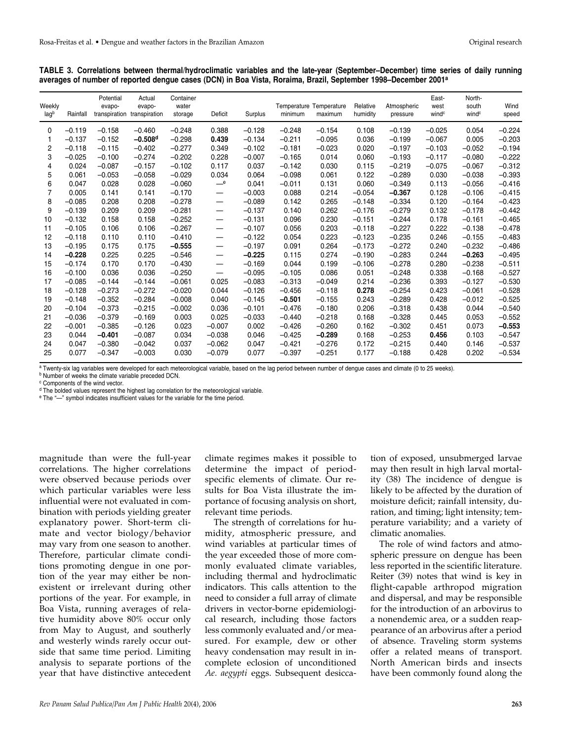|  | TABLE 3. Correlations between thermal/hydroclimatic variables and the late-year (September–December) time series of daily running |  |  |  |  |  |
|--|-----------------------------------------------------------------------------------------------------------------------------------|--|--|--|--|--|
|  | averages of number of reported dengue cases (DCN) in Boa Vista, Roraima, Brazil, September 1998–December 2001 <sup>a</sup>        |  |  |  |  |  |

| Weekly<br>lagb | Rainfall | Potential<br>evapo- | Actual<br>evapo-<br>transpiration transpiration | Container<br>water<br>storage | Deficit                  | Surplus  | Temperature Temperature<br>minimum | maximum  | Relative<br>humidity | Atmospheric<br>pressure | East-<br>west<br>wind <sup>c</sup> | North-<br>south<br>wind <sup>c</sup> | Wind<br>speed |
|----------------|----------|---------------------|-------------------------------------------------|-------------------------------|--------------------------|----------|------------------------------------|----------|----------------------|-------------------------|------------------------------------|--------------------------------------|---------------|
| $\mathbf{0}$   | $-0.119$ | $-0.158$            | $-0.460$                                        | $-0.248$                      | 0.388                    | $-0.128$ | $-0.248$                           | $-0.154$ | 0.108                | $-0.139$                | $-0.025$                           | 0.054                                | $-0.224$      |
|                | $-0.137$ | $-0.152$            | $-0.508d$                                       | $-0.298$                      | 0.439                    | $-0.134$ | $-0.211$                           | $-0.095$ | 0.036                | $-0.199$                | $-0.067$                           | 0.005                                | $-0.203$      |
| 2              | $-0.118$ | $-0.115$            | $-0.402$                                        | $-0.277$                      | 0.349                    | $-0.102$ | $-0.181$                           | $-0.023$ | 0.020                | $-0.197$                | $-0.103$                           | $-0.052$                             | $-0.194$      |
| 3              | $-0.025$ | $-0.100$            | $-0.274$                                        | $-0.202$                      | 0.228                    | $-0.007$ | $-0.165$                           | 0.014    | 0.060                | $-0.193$                | $-0.117$                           | $-0.080$                             | $-0.222$      |
| 4              | 0.024    | $-0.087$            | $-0.157$                                        | $-0.102$                      | 0.117                    | 0.037    | $-0.142$                           | 0.030    | 0.115                | $-0.219$                | $-0.075$                           | $-0.067$                             | $-0.312$      |
| 5              | 0.061    | $-0.053$            | $-0.058$                                        | $-0.029$                      | 0.034                    | 0.064    | $-0.098$                           | 0.061    | 0.122                | $-0.289$                | 0.030                              | $-0.038$                             | $-0.393$      |
| 6              | 0.047    | 0.028               | 0.028                                           | $-0.060$                      | $-^e$                    | 0.041    | $-0.011$                           | 0.131    | 0.060                | $-0.349$                | 0.113                              | $-0.056$                             | $-0.416$      |
| $\overline{7}$ | 0.005    | 0.141               | 0.141                                           | $-0.170$                      | $\qquad \qquad -$        | $-0.003$ | 0.088                              | 0.214    | $-0.054$             | $-0.367$                | 0.128                              | $-0.106$                             | $-0.415$      |
| 8              | $-0.085$ | 0.208               | 0.208                                           | $-0.278$                      | $\overline{\phantom{0}}$ | $-0.089$ | 0.142                              | 0.265    | $-0.148$             | $-0.334$                | 0.120                              | $-0.164$                             | $-0.423$      |
| 9              | $-0.139$ | 0.209               | 0.209                                           | $-0.281$                      | $\overline{\phantom{0}}$ | $-0.137$ | 0.140                              | 0.262    | $-0.176$             | $-0.279$                | 0.132                              | $-0.178$                             | $-0.442$      |
| 10             | $-0.132$ | 0.158               | 0.158                                           | $-0.252$                      | $\overline{\phantom{0}}$ | $-0.131$ | 0.096                              | 0.230    | $-0.151$             | $-0.244$                | 0.178                              | $-0.161$                             | $-0.465$      |
| 11             | $-0.105$ | 0.106               | 0.106                                           | $-0.267$                      |                          | $-0.107$ | 0.056                              | 0.203    | $-0.118$             | $-0.227$                | 0.222                              | $-0.138$                             | $-0.478$      |
| 12             | $-0.118$ | 0.110               | 0.110                                           | $-0.410$                      | $\overline{\phantom{0}}$ | $-0.122$ | 0.054                              | 0.223    | $-0.123$             | $-0.235$                | 0.246                              | $-0.155$                             | $-0.483$      |
| 13             | $-0.195$ | 0.175               | 0.175                                           | $-0.555$                      |                          | $-0.197$ | 0.091                              | 0.264    | $-0.173$             | $-0.272$                | 0.240                              | $-0.232$                             | $-0.486$      |
| 14             | $-0.228$ | 0.225               | 0.225                                           | $-0.546$                      | $\overline{\phantom{0}}$ | $-0.225$ | 0.115                              | 0.274    | $-0.190$             | $-0.283$                | 0.244                              | $-0.263$                             | $-0.495$      |
| 15             | $-0.174$ | 0.170               | 0.170                                           | $-0.430$                      |                          | $-0.169$ | 0.044                              | 0.199    | $-0.106$             | $-0.278$                | 0.280                              | $-0.238$                             | $-0.511$      |
| 16             | $-0.100$ | 0.036               | 0.036                                           | $-0.250$                      | $\qquad \qquad -$        | $-0.095$ | $-0.105$                           | 0.086    | 0.051                | $-0.248$                | 0.338                              | $-0.168$                             | $-0.527$      |
| 17             | $-0.085$ | $-0.144$            | $-0.144$                                        | $-0.061$                      | 0.025                    | $-0.083$ | $-0.313$                           | $-0.049$ | 0.214                | $-0.236$                | 0.393                              | $-0.127$                             | $-0.530$      |
| 18             | $-0.128$ | $-0.273$            | $-0.272$                                        | $-0.020$                      | 0.044                    | $-0.126$ | $-0.456$                           | $-0.118$ | 0.278                | $-0.254$                | 0.423                              | $-0.061$                             | $-0.528$      |
| 19             | $-0.148$ | $-0.352$            | $-0.284$                                        | $-0.008$                      | 0.040                    | $-0.145$ | $-0.501$                           | $-0.155$ | 0.243                | $-0.289$                | 0.428                              | $-0.012$                             | $-0.525$      |
| 20             | $-0.104$ | $-0.373$            | $-0.215$                                        | $-0.002$                      | 0.036                    | $-0.101$ | $-0.476$                           | $-0.180$ | 0.206                | $-0.318$                | 0.438                              | 0.044                                | $-0.540$      |
| 21             | $-0.036$ | $-0.379$            | $-0.169$                                        | 0.003                         | 0.025                    | $-0.033$ | $-0.440$                           | $-0.218$ | 0.168                | $-0.328$                | 0.445                              | 0.053                                | $-0.552$      |
| 22             | $-0.001$ | $-0.385$            | $-0.126$                                        | 0.023                         | $-0.007$                 | 0.002    | $-0.426$                           | $-0.260$ | 0.162                | $-0.302$                | 0.451                              | 0.073                                | $-0.553$      |
| 23             | 0.044    | $-0.401$            | $-0.087$                                        | 0.034                         | $-0.038$                 | 0.046    | $-0.425$                           | $-0.289$ | 0.168                | $-0.253$                | 0.456                              | 0.103                                | $-0.547$      |
| 24             | 0.047    | $-0.380$            | $-0.042$                                        | 0.037                         | $-0.062$                 | 0.047    | $-0.421$                           | $-0.276$ | 0.172                | $-0.215$                | 0.440                              | 0.146                                | $-0.537$      |
| 25             | 0.077    | $-0.347$            | $-0.003$                                        | 0.030                         | $-0.079$                 | 0.077    | $-0.397$                           | $-0.251$ | 0.177                | $-0.188$                | 0.428                              | 0.202                                | $-0.534$      |

<sup>a</sup> Twenty-six lag variables were developed for each meteorological variable, based on the lag period between number of dengue cases and climate (0 to 25 weeks).<br><sup>b</sup> Number of weeks the climate variable preceded DCN.

<sup>c</sup> Components of the wind vector.

<sup>d</sup> The bolded values represent the highest lag correlation for the meteorological variable.

<sup>e</sup> The "—" symbol indicates insufficient values for the variable for the time period.

magnitude than were the full-year correlations. The higher correlations were observed because periods over which particular variables were less influential were not evaluated in combination with periods yielding greater explanatory power. Short-term climate and vector biology/behavior may vary from one season to another. Therefore, particular climate conditions promoting dengue in one portion of the year may either be nonexistent or irrelevant during other portions of the year. For example, in Boa Vista, running averages of relative humidity above 80% occur only from May to August, and southerly and westerly winds rarely occur outside that same time period. Limiting analysis to separate portions of the year that have distinctive antecedent

climate regimes makes it possible to determine the impact of periodspecific elements of climate. Our results for Boa Vista illustrate the importance of focusing analysis on short, relevant time periods.

The strength of correlations for humidity, atmospheric pressure, and wind variables at particular times of the year exceeded those of more commonly evaluated climate variables, including thermal and hydroclimatic indicators. This calls attention to the need to consider a full array of climate drivers in vector-borne epidemiological research, including those factors less commonly evaluated and/or measured. For example, dew or other heavy condensation may result in incomplete eclosion of unconditioned *Ae. aegypti* eggs. Subsequent desicca-

tion of exposed, unsubmerged larvae may then result in high larval mortality (38) The incidence of dengue is likely to be affected by the duration of moisture deficit; rainfall intensity, duration, and timing; light intensity; temperature variability; and a variety of climatic anomalies.

The role of wind factors and atmospheric pressure on dengue has been less reported in the scientific literature. Reiter (39) notes that wind is key in flight-capable arthropod migration and dispersal, and may be responsible for the introduction of an arbovirus to a nonendemic area, or a sudden reappearance of an arbovirus after a period of absence. Traveling storm systems offer a related means of transport. North American birds and insects have been commonly found along the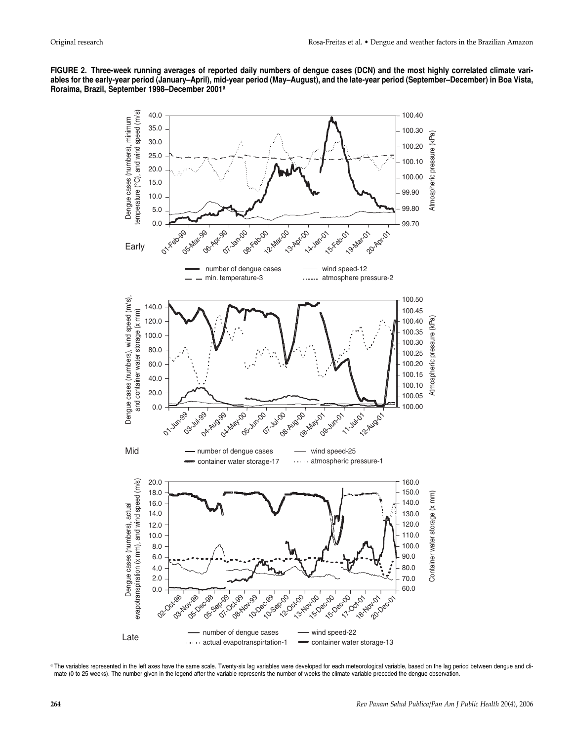



a The variables represented in the left axes have the same scale. Twenty-six lag variables were developed for each meteorological variable, based on the lag period between dengue and climate (0 to 25 weeks). The number given in the legend after the variable represents the number of weeks the climate variable preceded the dengue observation.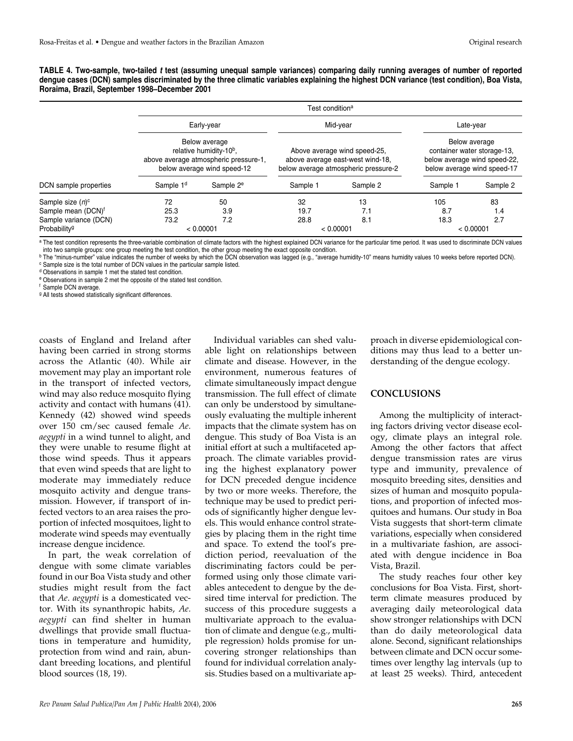**TABLE 4. Two-sample, two-tailed t test (assuming unequal sample variances) comparing daily running averages of number of reported dengue cases (DCN) samples discriminated by the three climatic variables explaining the highest DCN variance (test condition), Boa Vista, Roraima, Brazil, September 1998–December 2001** 

|                                | Test condition <sup>a</sup> |                                                                                                                              |          |                                                                                                          |                                                                                                                          |          |  |  |  |  |  |
|--------------------------------|-----------------------------|------------------------------------------------------------------------------------------------------------------------------|----------|----------------------------------------------------------------------------------------------------------|--------------------------------------------------------------------------------------------------------------------------|----------|--|--|--|--|--|
|                                |                             | Early-year                                                                                                                   |          | Mid-year                                                                                                 | Late-year<br>Below average<br>container water storage-13,<br>below average wind speed-22,<br>below average wind speed-17 |          |  |  |  |  |  |
|                                |                             | Below average<br>relative humidity-10 <sup>b</sup> ,<br>above average atmospheric pressure-1,<br>below average wind speed-12 |          | Above average wind speed-25,<br>above average east-west wind-18,<br>below average atmospheric pressure-2 |                                                                                                                          |          |  |  |  |  |  |
| DCN sample properties          | Sample 1 <sup>d</sup>       | Sample 2 <sup>e</sup>                                                                                                        | Sample 1 | Sample 2                                                                                                 | Sample 1                                                                                                                 | Sample 2 |  |  |  |  |  |
| Sample size $(n)$ <sup>c</sup> | 72                          | 50                                                                                                                           | 32       | 13                                                                                                       | 105                                                                                                                      | 83       |  |  |  |  |  |
| Sample mean (DCN) <sup>f</sup> | 25.3                        | 3.9                                                                                                                          | 19.7     | 7.1                                                                                                      | 8.7                                                                                                                      | 1.4      |  |  |  |  |  |
| Sample variance (DCN)          | 73.2                        | 7.2                                                                                                                          | 28.8     | 8.1                                                                                                      | 18.3                                                                                                                     | 2.7      |  |  |  |  |  |
| Probability <sup>g</sup>       |                             | < 0.00001                                                                                                                    |          | < 0.00001                                                                                                | < 0.00001                                                                                                                |          |  |  |  |  |  |

a The test condition represents the three-variable combination of climate factors with the highest explained DCN variance for the particular time period. It was used to discriminate DCN values into two sample groups: one group meeting the test condition, the other group meeting the exact opposite condition.

<sup>b</sup> The "minus-number" value indicates the number of weeks by which the DCN observation was lagged (e.g., "average humidity-10" means humidity values 10 weeks before reported DCN).<br><sup>c</sup> Sample size is the total number of DC

<sup>d</sup> Observations in sample 1 met the stated test condition.

<sup>e</sup> Observations in sample 2 met the opposite of the stated test condition.

<sup>f</sup> Sample DCN average.

<sup>9</sup> All tests showed statistically significant differences.

coasts of England and Ireland after having been carried in strong storms across the Atlantic (40). While air movement may play an important role in the transport of infected vectors, wind may also reduce mosquito flying activity and contact with humans (41). Kennedy (42) showed wind speeds over 150 cm/sec caused female *Ae. aegypti* in a wind tunnel to alight, and they were unable to resume flight at those wind speeds. Thus it appears that even wind speeds that are light to moderate may immediately reduce mosquito activity and dengue transmission. However, if transport of infected vectors to an area raises the proportion of infected mosquitoes, light to moderate wind speeds may eventually increase dengue incidence.

In part, the weak correlation of dengue with some climate variables found in our Boa Vista study and other studies might result from the fact that *Ae. aegypti* is a domesticated vector. With its synanthropic habits, *Ae. aegypti* can find shelter in human dwellings that provide small fluctuations in temperature and humidity, protection from wind and rain, abundant breeding locations, and plentiful blood sources (18, 19).

Individual variables can shed valuable light on relationships between climate and disease. However, in the environment, numerous features of climate simultaneously impact dengue transmission. The full effect of climate can only be understood by simultaneously evaluating the multiple inherent impacts that the climate system has on dengue. This study of Boa Vista is an initial effort at such a multifaceted approach. The climate variables providing the highest explanatory power for DCN preceded dengue incidence by two or more weeks. Therefore, the technique may be used to predict periods of significantly higher dengue levels. This would enhance control strategies by placing them in the right time and space. To extend the tool's prediction period, reevaluation of the discriminating factors could be performed using only those climate variables antecedent to dengue by the desired time interval for prediction. The success of this procedure suggests a multivariate approach to the evaluation of climate and dengue (e.g., multiple regression) holds promise for uncovering stronger relationships than found for individual correlation analysis. Studies based on a multivariate approach in diverse epidemiological conditions may thus lead to a better understanding of the dengue ecology.

#### **CONCLUSIONS**

Among the multiplicity of interacting factors driving vector disease ecology, climate plays an integral role. Among the other factors that affect dengue transmission rates are virus type and immunity, prevalence of mosquito breeding sites, densities and sizes of human and mosquito populations, and proportion of infected mosquitoes and humans. Our study in Boa Vista suggests that short-term climate variations, especially when considered in a multivariate fashion, are associated with dengue incidence in Boa Vista, Brazil.

The study reaches four other key conclusions for Boa Vista. First, shortterm climate measures produced by averaging daily meteorological data show stronger relationships with DCN than do daily meteorological data alone. Second, significant relationships between climate and DCN occur sometimes over lengthy lag intervals (up to at least 25 weeks). Third, antecedent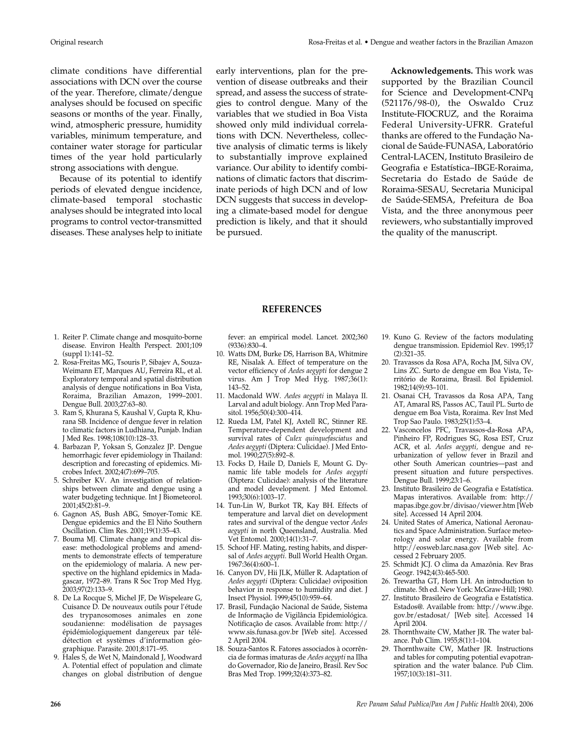climate conditions have differential associations with DCN over the course of the year. Therefore, climate/dengue analyses should be focused on specific seasons or months of the year. Finally, wind, atmospheric pressure, humidity variables, minimum temperature, and container water storage for particular times of the year hold particularly strong associations with dengue.

Because of its potential to identify periods of elevated dengue incidence, climate-based temporal stochastic analyses should be integrated into local programs to control vector-transmitted diseases. These analyses help to initiate

early interventions, plan for the prevention of disease outbreaks and their spread, and assess the success of strategies to control dengue. Many of the variables that we studied in Boa Vista showed only mild individual correlations with DCN. Nevertheless, collective analysis of climatic terms is likely to substantially improve explained variance. Our ability to identify combinations of climatic factors that discriminate periods of high DCN and of low DCN suggests that success in developing a climate-based model for dengue prediction is likely, and that it should be pursued.

**Acknowledgements.** This work was supported by the Brazilian Council for Science and Development-CNPq (521176/98-0), the Oswaldo Cruz Institute-FIOCRUZ, and the Roraima Federal University-UFRR. Grateful thanks are offered to the Fundação Nacional de Saúde-FUNASA, Laboratório Central-LACEN, Instituto Brasileiro de Geografia e Estatística–IBGE-Roraima, Secretaria do Estado de Saúde de Roraima-SESAU, Secretaria Municipal de Saúde-SEMSA, Prefeitura de Boa Vista, and the three anonymous peer reviewers, who substantially improved the quality of the manuscript.

#### **REFERENCES**

- 1. Reiter P. Climate change and mosquito-borne disease. Environ Health Perspect. 2001;109 (suppl 1):141–52.
- 2. Rosa-Freitas MG, Tsouris P, Sibajev A, Souza-Weimann ET, Marques AU, Ferreira RL, et al. Exploratory temporal and spatial distribution analysis of dengue notifications in Boa Vista, Roraima, Brazilian Amazon, 1999–2001. Dengue Bull. 2003;27:63–80.
- 3. Ram S, Khurana S, Kaushal V, Gupta R, Khurana SB. Incidence of dengue fever in relation to climatic factors in Ludhiana, Punjab. Indian J Med Res. 1998;108(10):128–33.
- 4. Barbazan P, Yoksan S, Gonzalez JP. Dengue hemorrhagic fever epidemiology in Thailand: description and forecasting of epidemics. Microbes Infect. 2002;4(7):699–705.
- 5. Schreiber KV. An investigation of relationships between climate and dengue using a water budgeting technique. Int J Biometeorol. 2001;45(2):81–9.
- 6. Gagnon AS, Bush ABG, Smoyer-Tomic KE. Dengue epidemics and the El Niño Southern Oscillation. Clim Res. 2001;19(1):35–43.
- 7. Bouma MJ. Climate change and tropical disease: methodological problems and amendments to demonstrate effects of temperature on the epidemiology of malaria. A new perspective on the highland epidemics in Madagascar, 1972–89. Trans R Soc Trop Med Hyg. 2003;97(2):133–9.
- 8. De La Rocque S, Michel JF, De Wispeleare G, Cuisance D. De nouveaux outils pour l'étude des trypanosomoses animales en zone soudanienne: modélisation de paysages épidémiologiquement dangereux par télédétection et systèmes d'information géographique. Parasite. 2001;8:171–95.
- 9. Hales S, de Wet N, Maindonald J, Woodward A. Potential effect of population and climate changes on global distribution of dengue

fever: an empirical model. Lancet. 2002;360 (9336):830–4.

- 10. Watts DM, Burke DS, Harrison BA, Whitmire RE, Nisalak A. Effect of temperature on the vector efficiency of *Aedes aegypti* for dengue 2 virus. Am J Trop Med Hyg. 1987;36(1): 143–52.
- 11. Macdonald WW. *Aedes aegypti* in Malaya II. Larval and adult biology. Ann Trop Med Parasitol. 1956;50(4):300–414.
- 12. Rueda LM, Patel KJ, Axtell RC, Stinner RE. Temperature-dependent development and survival rates of *Culex quinquefasciatus* and *Aedes aegypti* (Diptera: Culicidae). J Med Entomol. 1990;27(5):892–8.
- 13. Focks D, Haile D, Daniels E, Mount G. Dynamic life table models for *Aedes aegypti* (Diptera: Culicidae): analysis of the literature and model development. J Med Entomol. 1993;30(6):1003–17.
- 14. Tun-Lin W, Burkot TR, Kay BH. Effects of temperature and larval diet on development rates and survival of the dengue vector *Aedes aegypti* in north Queensland, Australia. Med Vet Entomol. 2000;14(1):31–7.
- 15. Schoof HF. Mating, resting habits, and dispersal of *Aedes aegypti.* Bull World Health Organ. 1967:36(4):600–1.
- 16. Canyon DV, Hii JLK, Müller R. Adaptation of *Aedes aegypti* (Diptera: Culicidae) oviposition behavior in response to humidity and diet. J Insect Physiol. 1999;45(10):959–64.
- 17. Brasil, Fundação Nacional de Saúde, Sistema de Informação de Vigilância Epidemiológica. Notificação de casos. Available from: http:// www.sis.funasa.gov.br [Web site]. Accessed 2 April 2004.
- 18. Souza-Santos R. Fatores associados à ocorrência de formas imaturas de *Aedes aegypti* na Ilha do Governador, Rio de Janeiro, Brasil. Rev Soc Bras Med Trop. 1999;32(4):373–82.
- 19. Kuno G. Review of the factors modulating dengue transmission. Epidemiol Rev. 1995;17 (2):321–35.
- 20. Travassos da Rosa APA, Rocha JM, Silva OV, Lins ZC. Surto de dengue em Boa Vista, Território de Roraima, Brasil. Bol Epidemiol. 1982;14(9):93–101.
- 21. Osanai CH, Travassos da Rosa APA, Tang AT, Amaral RS, Passos AC, Tauil PL. Surto de dengue em Boa Vista, Roraima. Rev Inst Med Trop Sao Paulo. 1983;25(1):53–4.
- 22. Vasconcelos PFC, Travassos-da-Rosa APA, Pinheiro FP, Rodrigues SG, Rosa EST, Cruz ACR, et al. *Aedes aegypti,* dengue and reurbanization of yellow fever in Brazil and other South American countries—past and present situation and future perspectives. Dengue Bull. 1999;23:1–6.
- 23. Instituto Brasileiro de Geografia e Estatística. Mapas interativos. Available from: http:// mapas.ibge.gov.br/divisao/viewer.htm [Web site]. Accessed 14 April 2004.
- 24. United States of America, National Aeronautics and Space Administration. Surface meteorology and solar energy. Available from http://eosweb.larc.nasa.gov [Web site]. Accessed 2 February 2005.
- 25. Schmidt JCJ. O clima da Amazônia. Rev Bras Geogr. 1942;4(3):465-500.
- 26. Trewartha GT, Horn LH. An introduction to climate. 5th ed. New York: McGraw-Hill; 1980.
- 27. Instituto Brasileiro de Geografia e Estatística. Estados@. Available from: http://www.ibge. gov.br/estadosat/ [Web site]. Accessed 14 April 2004.
- 28. Thornthwaite CW, Mather JR. The water balance. Pub Clim. 1955;8(1):1–104.
- 29. Thornthwaite CW, Mather JR. Instructions and tables for computing potential evapotranspiration and the water balance. Pub Clim. 1957;10(3):181–311.